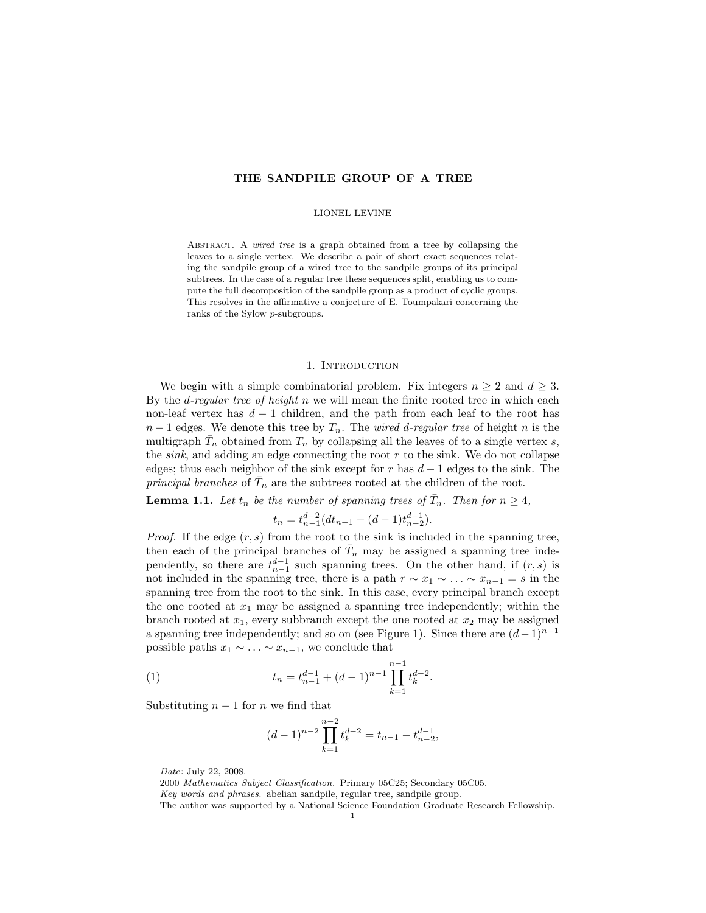## THE SANDPILE GROUP OF A TREE

### LIONEL LEVINE

ABSTRACT. A wired tree is a graph obtained from a tree by collapsing the leaves to a single vertex. We describe a pair of short exact sequences relating the sandpile group of a wired tree to the sandpile groups of its principal subtrees. In the case of a regular tree these sequences split, enabling us to compute the full decomposition of the sandpile group as a product of cyclic groups. This resolves in the affirmative a conjecture of E. Toumpakari concerning the ranks of the Sylow p-subgroups.

### 1. INTRODUCTION

We begin with a simple combinatorial problem. Fix integers  $n \geq 2$  and  $d \geq 3$ . By the *d*-regular tree of height  $n$  we will mean the finite rooted tree in which each non-leaf vertex has  $d-1$  children, and the path from each leaf to the root has  $n-1$  edges. We denote this tree by  $T_n$ . The *wired d-regular tree* of height n is the multigraph  $\bar{T}_n$  obtained from  $T_n$  by collapsing all the leaves of to a single vertex s, the  $sink$ , and adding an edge connecting the root  $r$  to the sink. We do not collapse edges; thus each neighbor of the sink except for r has  $d-1$  edges to the sink. The principal branches of  $\overline{T}_n$  are the subtrees rooted at the children of the root.

<span id="page-0-0"></span>**Lemma 1.1.** Let  $t_n$  be the number of spanning trees of  $\overline{T}_n$ . Then for  $n \geq 4$ ,

$$
t_n = t_{n-1}^{d-2} (dt_{n-1} - (d-1)t_{n-2}^{d-1}).
$$

*Proof.* If the edge  $(r, s)$  from the root to the sink is included in the spanning tree, then each of the principal branches of  $\bar{T}_n$  may be assigned a spanning tree independently, so there are  $t_{n-1}^{d-1}$  such spanning trees. On the other hand, if  $(r, s)$  is not included in the spanning tree, there is a path  $r \sim x_1 \sim \ldots \sim x_{n-1} = s$  in the spanning tree from the root to the sink. In this case, every principal branch except the one rooted at  $x_1$  may be assigned a spanning tree independently; within the branch rooted at  $x_1$ , every subbranch except the one rooted at  $x_2$  may be assigned a spanning tree independently; and so on (see Figure 1). Since there are  $(d-1)^{n-1}$ possible paths  $x_1 \sim \ldots \sim x_{n-1}$ , we conclude that

(1) 
$$
t_n = t_{n-1}^{d-1} + (d-1)^{n-1} \prod_{k=1}^{n-1} t_k^{d-2}.
$$

Substituting  $n-1$  for n we find that

<span id="page-0-1"></span>
$$
(d-1)^{n-2} \prod_{k=1}^{n-2} t_k^{d-2} = t_{n-1} - t_{n-2}^{d-1},
$$

Date: July 22, 2008.

<sup>2000</sup> Mathematics Subject Classification. Primary 05C25; Secondary 05C05.

Key words and phrases. abelian sandpile, regular tree, sandpile group.

The author was supported by a National Science Foundation Graduate Research Fellowship.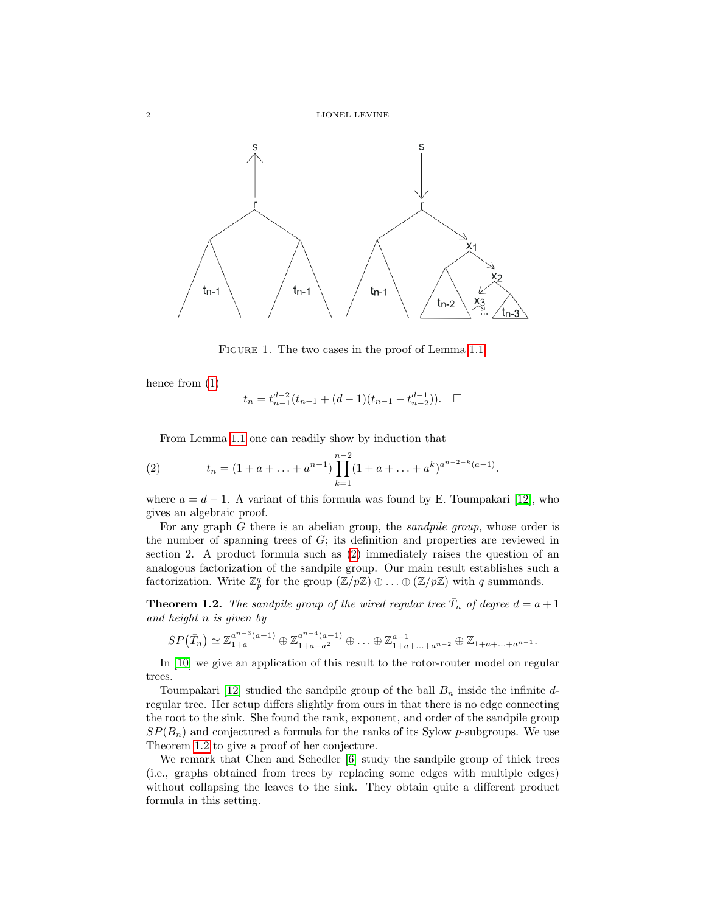

FIGURE 1. The two cases in the proof of Lemma [1.1.](#page-0-0)

hence from [\(1\)](#page-0-1)

$$
t_n=t_{n-1}^{d-2}(t_{n-1}+(d-1)(t_{n-1}-t_{n-2}^{d-1})). \quad \Box
$$

<span id="page-1-0"></span>From Lemma [1.1](#page-0-0) one can readily show by induction that

(2) 
$$
t_n = (1 + a + \ldots + a^{n-1}) \prod_{k=1}^{n-2} (1 + a + \ldots + a^k)^{a^{n-2-k}(a-1)}.
$$

where  $a = d - 1$ . A variant of this formula was found by E. Toumpakari [\[12\]](#page-10-0), who gives an algebraic proof.

For any graph  $G$  there is an abelian group, the *sandpile group*, whose order is the number of spanning trees of  $G$ ; its definition and properties are reviewed in section 2. A product formula such as [\(2\)](#page-1-0) immediately raises the question of an analogous factorization of the sandpile group. Our main result establishes such a factorization. Write  $\mathbb{Z}_p^q$  for the group  $(\mathbb{Z}/p\mathbb{Z}) \oplus \ldots \oplus (\mathbb{Z}/p\mathbb{Z})$  with q summands.

<span id="page-1-1"></span>**Theorem 1.2.** The sandpile group of the wired regular tree  $\overline{T}_n$  of degree  $d = a + 1$ and height n is given by

$$
SP(\bar{T}_n) \simeq \mathbb{Z}_{1+a}^{a^{n-3}(a-1)} \oplus \mathbb{Z}_{1+a+a^2}^{a^{n-4}(a-1)} \oplus \ldots \oplus \mathbb{Z}_{1+a+\ldots+a^{n-2}}^{a-1} \oplus \mathbb{Z}_{1+a+\ldots+a^{n-1}}.
$$

In [\[10\]](#page-10-1) we give an application of this result to the rotor-router model on regular trees.

Toumpakari [\[12\]](#page-10-0) studied the sandpile group of the ball  $B_n$  inside the infinite dregular tree. Her setup differs slightly from ours in that there is no edge connecting the root to the sink. She found the rank, exponent, and order of the sandpile group  $SP(B_n)$  and conjectured a formula for the ranks of its Sylow p-subgroups. We use Theorem [1.2](#page-1-1) to give a proof of her conjecture.

We remark that Chen and Schedler [\[6\]](#page-10-2) study the sandpile group of thick trees (i.e., graphs obtained from trees by replacing some edges with multiple edges) without collapsing the leaves to the sink. They obtain quite a different product formula in this setting.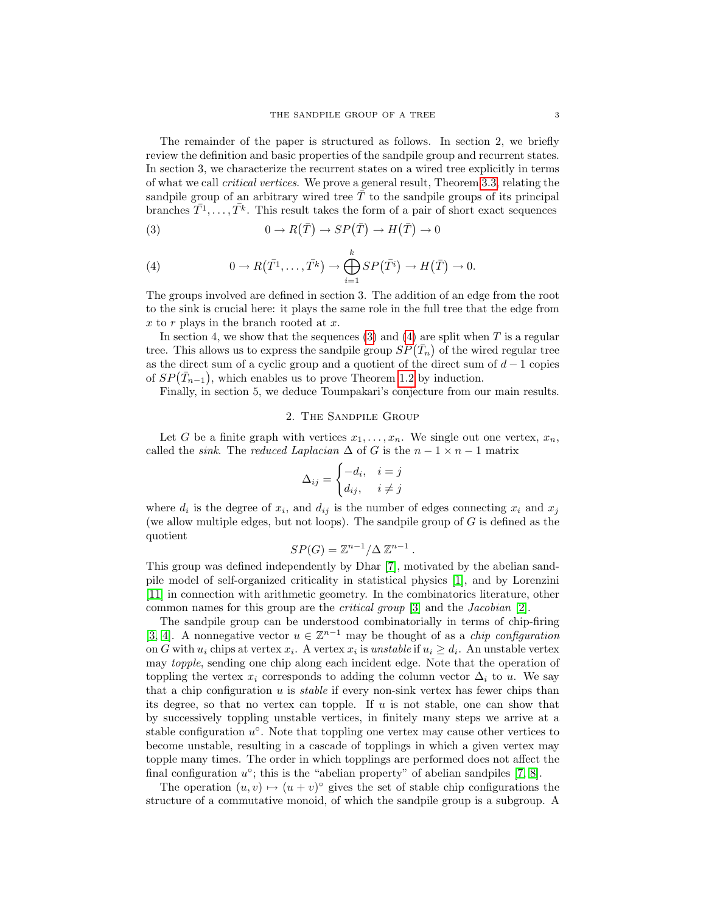The remainder of the paper is structured as follows. In section 2, we briefly review the definition and basic properties of the sandpile group and recurrent states. In section 3, we characterize the recurrent states on a wired tree explicitly in terms of what we call critical vertices. We prove a general result, Theorem [3.3,](#page-5-0) relating the sandpile group of an arbitrary wired tree  $\overline{T}$  to the sandpile groups of its principal branches  $T^1, \ldots, T^k$ . This result takes the form of a pair of short exact sequences

<span id="page-2-0"></span>(3) 
$$
0 \to R(\bar{T}) \to SP(\bar{T}) \to H(\bar{T}) \to 0
$$

<span id="page-2-1"></span>(4) 
$$
0 \to R(\bar{T^1}, \dots, \bar{T^k}) \to \bigoplus_{i=1}^k SP(\bar{T^i}) \to H(\bar{T}) \to 0.
$$

The groups involved are defined in section 3. The addition of an edge from the root to the sink is crucial here: it plays the same role in the full tree that the edge from  $x$  to  $r$  plays in the branch rooted at  $x$ .

In section 4, we show that the sequences  $(3)$  and  $(4)$  are split when T is a regular tree. This allows us to express the sandpile group  $SP(\bar{T}_n)$  of the wired regular tree as the direct sum of a cyclic group and a quotient of the direct sum of  $d-1$  copies of  $SP(\bar{T}_{n-1})$ , which enables us to prove Theorem [1.2](#page-1-1) by induction.

Finally, in section 5, we deduce Toumpakari's conjecture from our main results.

### 2. The Sandpile Group

Let G be a finite graph with vertices  $x_1, \ldots, x_n$ . We single out one vertex,  $x_n$ , called the *sink*. The *reduced Laplacian*  $\Delta$  of G is the  $n - 1 \times n - 1$  matrix

$$
\Delta_{ij} = \begin{cases}\n-d_i, & i = j \\
d_{ij}, & i \neq j\n\end{cases}
$$

where  $d_i$  is the degree of  $x_i$ , and  $d_{ij}$  is the number of edges connecting  $x_i$  and  $x_j$ (we allow multiple edges, but not loops). The sandpile group of  $G$  is defined as the quotient

$$
SP(G) = \mathbb{Z}^{n-1} / \Delta \mathbb{Z}^{n-1} .
$$

This group was defined independently by Dhar [\[7\]](#page-10-3), motivated by the abelian sandpile model of self-organized criticality in statistical physics [\[1\]](#page-10-4), and by Lorenzini [\[11\]](#page-10-5) in connection with arithmetic geometry. In the combinatorics literature, other common names for this group are the critical group [\[3\]](#page-10-6) and the Jacobian [\[2\]](#page-10-7).

The sandpile group can be understood combinatorially in terms of chip-firing [\[3,](#page-10-6) [4\]](#page-10-8). A nonnegative vector  $u \in \mathbb{Z}^{n-1}$  may be thought of as a *chip configuration* on G with  $u_i$  chips at vertex  $x_i$ . A vertex  $x_i$  is *unstable* if  $u_i \geq d_i$ . An unstable vertex may topple, sending one chip along each incident edge. Note that the operation of toppling the vertex  $x_i$  corresponds to adding the column vector  $\Delta_i$  to u. We say that a chip configuration  $u$  is *stable* if every non-sink vertex has fewer chips than its degree, so that no vertex can topple. If  $u$  is not stable, one can show that by successively toppling unstable vertices, in finitely many steps we arrive at a stable configuration  $u^{\circ}$ . Note that toppling one vertex may cause other vertices to become unstable, resulting in a cascade of topplings in which a given vertex may topple many times. The order in which topplings are performed does not affect the final configuration  $u^{\circ}$ ; this is the "abelian property" of abelian sandpiles [\[7,](#page-10-3) [8\]](#page-10-9).

The operation  $(u, v) \mapsto (u + v)^\circ$  gives the set of stable chip configurations the structure of a commutative monoid, of which the sandpile group is a subgroup. A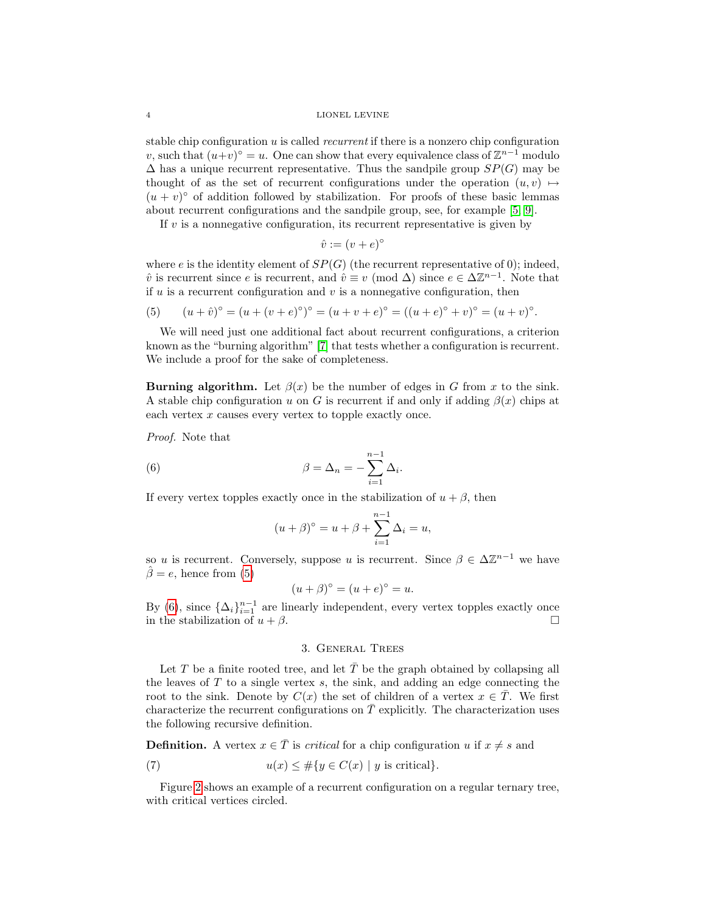### 4 LIONEL LEVINE

stable chip configuration  $u$  is called *recurrent* if there is a nonzero chip configuration v, such that  $(u+v)$ <sup>°</sup> = u. One can show that every equivalence class of  $\mathbb{Z}^{n-1}$  modulo  $\Delta$  has a unique recurrent representative. Thus the sandpile group  $SP(G)$  may be thought of as the set of recurrent configurations under the operation  $(u, v) \mapsto$  $(u + v)$ <sup>o</sup> of addition followed by stabilization. For proofs of these basic lemmas about recurrent configurations and the sandpile group, see, for example [\[5,](#page-10-10) [9\]](#page-10-11).

If  $v$  is a nonnegative configuration, its recurrent representative is given by

$$
\hat{v} := (v + e)^{\circ}
$$

where e is the identity element of  $SP(G)$  (the recurrent representative of 0); indeed,  $\hat{v}$  is recurrent since e is recurrent, and  $\hat{v} \equiv v \pmod{\Delta}$  since  $e \in \Delta \mathbb{Z}^{n-1}$ . Note that if  $u$  is a recurrent configuration and  $v$  is a nonnegative configuration, then

<span id="page-3-0"></span>(5) 
$$
(u + \hat{v})^{\circ} = (u + (v + e)^{\circ})^{\circ} = (u + v + e)^{\circ} = ((u + e)^{\circ} + v)^{\circ} = (u + v)^{\circ}.
$$

We will need just one additional fact about recurrent configurations, a criterion known as the "burning algorithm" [\[7\]](#page-10-3) that tests whether a configuration is recurrent. We include a proof for the sake of completeness.

Burning algorithm. Let  $\beta(x)$  be the number of edges in G from x to the sink. A stable chip configuration u on G is recurrent if and only if adding  $\beta(x)$  chips at each vertex  $x$  causes every vertex to topple exactly once.

Proof. Note that

(6) 
$$
\beta = \Delta_n = -\sum_{i=1}^{n-1} \Delta_i
$$

If every vertex topples exactly once in the stabilization of  $u + \beta$ , then

<span id="page-3-1"></span>
$$
(u+\beta)^{\circ} = u + \beta + \sum_{i=1}^{n-1} \Delta_i = u,
$$

.

so u is recurrent. Conversely, suppose u is recurrent. Since  $\beta \in \Delta \mathbb{Z}^{n-1}$  we have  $\hat{\beta} = e$ , hence from [\(5\)](#page-3-0)

$$
(u + \beta)^{\circ} = (u + e)^{\circ} = u.
$$

By [\(6\)](#page-3-1), since  $\{\Delta_i\}_{i=1}^{n-1}$  are linearly independent, every vertex topples exactly once in the stabilization of  $u + \beta$ .

### <span id="page-3-2"></span>3. General Trees

Let T be a finite rooted tree, and let  $\overline{T}$  be the graph obtained by collapsing all the leaves of  $T$  to a single vertex  $s$ , the sink, and adding an edge connecting the root to the sink. Denote by  $C(x)$  the set of children of a vertex  $x \in T$ . We first characterize the recurrent configurations on  $\overline{T}$  explicitly. The characterization uses the following recursive definition.

**Definition.** A vertex  $x \in \overline{T}$  is *critical* for a chip configuration u if  $x \neq s$  and

(7) 
$$
u(x) \leq \#\{y \in C(x) \mid y \text{ is critical}\}.
$$

<span id="page-3-3"></span>Figure [2](#page-4-0) shows an example of a recurrent configuration on a regular ternary tree, with critical vertices circled.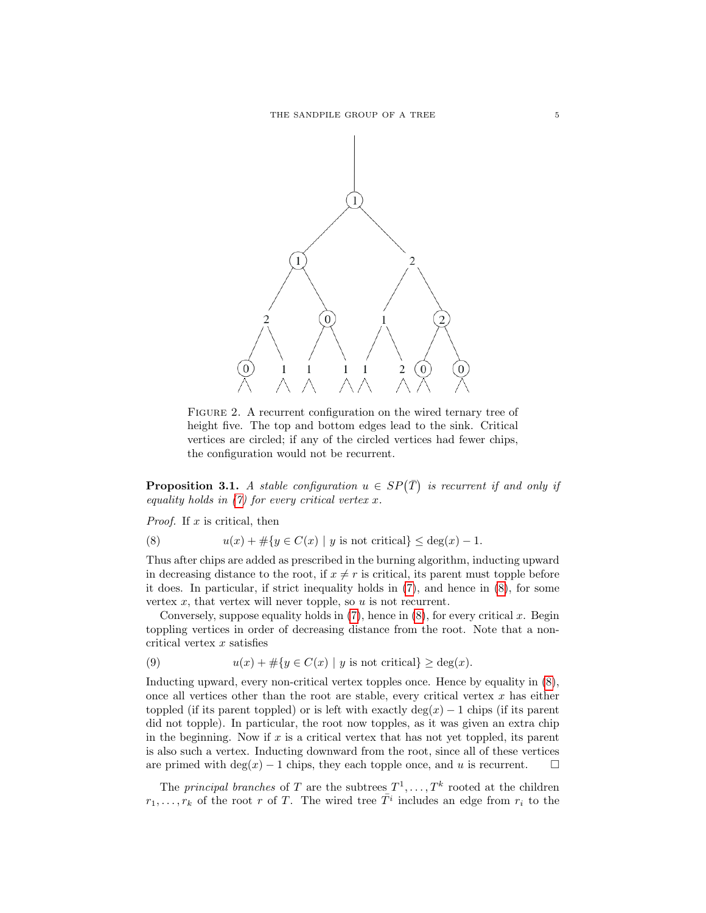

<span id="page-4-0"></span>FIGURE 2. A recurrent configuration on the wired ternary tree of height five. The top and bottom edges lead to the sink. Critical vertices are circled; if any of the circled vertices had fewer chips, the configuration would not be recurrent.

**Proposition 3.1.** A stable configuration  $u \in SP(\overline{T})$  is recurrent if and only if equality holds in  $(7)$  for every critical vertex x.

<span id="page-4-1"></span>*Proof.* If  $x$  is critical, then

(8) 
$$
u(x) + \#\{y \in C(x) \mid y \text{ is not critical}\} \leq \deg(x) - 1.
$$

Thus after chips are added as prescribed in the burning algorithm, inducting upward in decreasing distance to the root, if  $x \neq r$  is critical, its parent must topple before it does. In particular, if strict inequality holds in [\(7\)](#page-3-2), and hence in [\(8\)](#page-4-1), for some vertex  $x$ , that vertex will never topple, so  $u$  is not recurrent.

Conversely, suppose equality holds in  $(7)$ , hence in  $(8)$ , for every critical x. Begin toppling vertices in order of decreasing distance from the root. Note that a noncritical vertex  $x$  satisfies

(9) 
$$
u(x) + \#\{y \in C(x) \mid y \text{ is not critical}\} \ge \deg(x).
$$

Inducting upward, every non-critical vertex topples once. Hence by equality in [\(8\)](#page-4-1), once all vertices other than the root are stable, every critical vertex  $x$  has either toppled (if its parent toppled) or is left with exactly deg(x) – 1 chips (if its parent did not topple). In particular, the root now topples, as it was given an extra chip in the beginning. Now if  $x$  is a critical vertex that has not yet toppled, its parent is also such a vertex. Inducting downward from the root, since all of these vertices are primed with deg(x) – 1 chips, they each topple once, and u is recurrent.  $\square$ 

The *principal branches* of T are the subtrees  $T^1, \ldots, T^k$  rooted at the children  $r_1, \ldots, r_k$  of the root r of T. The wired tree  $\overline{T}^i$  includes an edge from  $r_i$  to the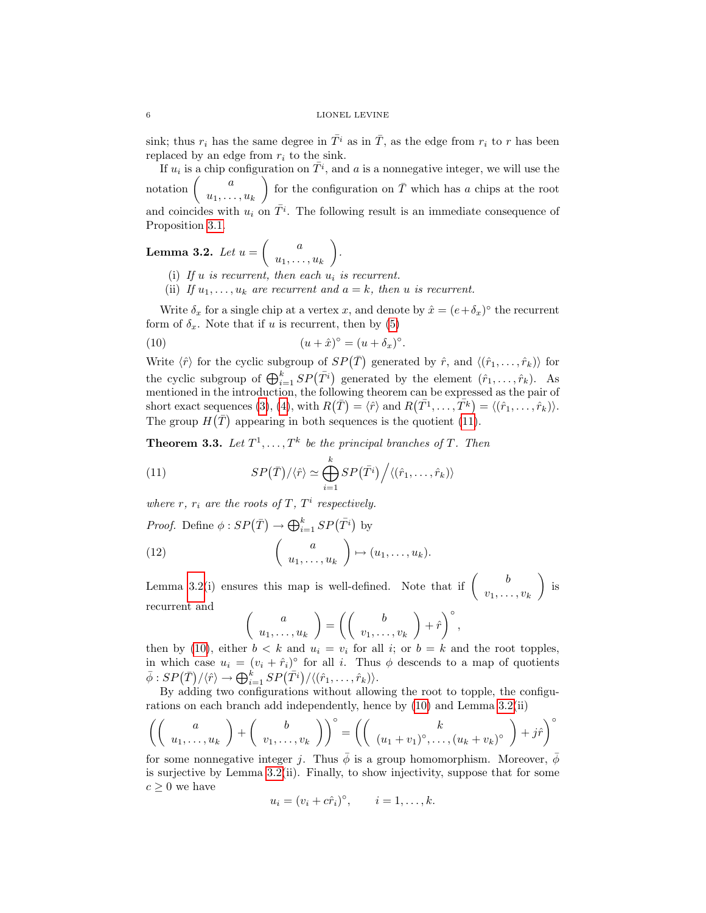sink; thus  $r_i$  has the same degree in  $\overline{T}^i$  as in  $\overline{T}$ , as the edge from  $r_i$  to r has been replaced by an edge from  $r_i$  to the sink.

If  $u_i$  is a chip configuration on  $\bar{T}^i$ , and a is a nonnegative integer, we will use the notation a  $u_1, \ldots, u_k$ for the configuration on  $\overline{T}$  which has a chips at the root and coincides with  $u_i$  on  $\overline{T}^i$ . The following result is an immediate consequence of Proposition [3.1.](#page-3-3)

<span id="page-5-2"></span>**Lemma 3.2.** Let  $u = \begin{pmatrix} a & a \end{pmatrix}$  $u_1, \ldots, u_k$ .

- (i) If u is recurrent, then each  $u_i$  is recurrent.
- <span id="page-5-3"></span>(ii) If  $u_1, \ldots, u_k$  are recurrent and  $a = k$ , then u is recurrent.

Write  $\delta_x$  for a single chip at a vertex x, and denote by  $\hat{x} = (e + \delta_x)^\circ$  the recurrent form of  $\delta_x$ . Note that if u is recurrent, then by [\(5\)](#page-3-0)

(10) 
$$
(u + \hat{x})^{\circ} = (u + \delta_x)^{\circ}.
$$

Write  $\langle \hat{r} \rangle$  for the cyclic subgroup of  $SP(\bar{T})$  generated by  $\hat{r}$ , and  $\langle (\hat{r}_1, \ldots, \hat{r}_k) \rangle$  for the cyclic subgroup of  $\bigoplus_{i=1}^k SP(\overline{T^i})$  generated by the element  $(\hat{r}_1, \ldots, \hat{r}_k)$ . As mentioned in the introduction, the following theorem can be expressed as the pair of short exact sequences [\(3\)](#page-2-0), [\(4\)](#page-2-1), with  $R(\bar{T}) = \langle \hat{r} \rangle$  and  $R(\bar{T^1}, \ldots, \bar{T^k}) = \langle (\hat{r}_1, \ldots, \hat{r}_k) \rangle$ . The group  $H(\bar{T})$  appearing in both sequences is the quotient [\(11\)](#page-5-1).

<span id="page-5-0"></span>**Theorem 3.3.** Let  $T^1, \ldots, T^k$  be the principal branches of T. Then

<span id="page-5-1"></span>(11) 
$$
SP(\bar{T})/\langle \hat{r} \rangle \simeq \bigoplus_{i=1}^{k} SP(\bar{T}^{i})/\langle (\hat{r}_{1}, \ldots, \hat{r}_{k}) \rangle
$$

where r,  $r_i$  are the roots of T,  $T^i$  respectively.

*Proof.* Define  $\phi: SP(\overline{T}) \to \bigoplus_{i=1}^k SP(\overline{T}^i)$  by

(12) 
$$
\begin{pmatrix} a \\ u_1, \dots, u_k \end{pmatrix} \mapsto (u_1, \dots, u_k).
$$

Lemma [3.2\(](#page-5-2)i) ensures this map is well-defined. Note that if  $\begin{pmatrix} b & b \\ a & c \end{pmatrix}$  $v_1, \ldots, v_k$  $\Big)$  is recurrent and

$$
\begin{pmatrix} a \\ u_1, \dots, u_k \end{pmatrix} = \left( \begin{pmatrix} b \\ v_1, \dots, v_k \end{pmatrix} + \hat{r} \right)^{\circ},
$$
  
or  $b \leq k$  and  $u_k = v_k$  for all  $i \leq r$   $b = k$  an

then by [\(10\)](#page-5-3), either  $b < k$  and  $u_i = v_i$  for all i; or  $b = k$  and the root topples, in which case  $u_i = (v_i + \hat{r}_i)$ <sup>o</sup> for all *i*. Thus  $\phi$  descends to a map of quotients  $\bar{\phi}: SP(\bar{T}) / \langle \hat{r} \rangle \rightarrow \bigoplus_{i=1}^k SP(\bar{T}^i) / \langle (\hat{r}_1, \ldots, \hat{r}_k) \rangle.$ 

By adding two configurations without allowing the root to topple, the configurations on each branch add independently, hence by [\(10\)](#page-5-3) and Lemma [3.2\(](#page-5-2)ii)

$$
\left(\left(\begin{array}{c}a\\u_1,\ldots,u_k\end{array}\right)+\left(\begin{array}{c}b\\v_1,\ldots,v_k\end{array}\right)\right)^{\circ}=\left(\left(\begin{array}{c}k\\(u_1+v_1)^{\circ},\ldots,(u_k+v_k)^{\circ}\end{array}\right)+j\hat{r}\right)^{\circ}
$$

for some nonnegative integer j. Thus  $\bar{\phi}$  is a group homomorphism. Moreover,  $\phi$ is surjective by Lemma [3.2\(](#page-5-2)ii). Finally, to show injectivity, suppose that for some  $c \geq 0$  we have

$$
u_i = (v_i + c\hat{r}_i)^{\circ}, \qquad i = 1, \dots, k.
$$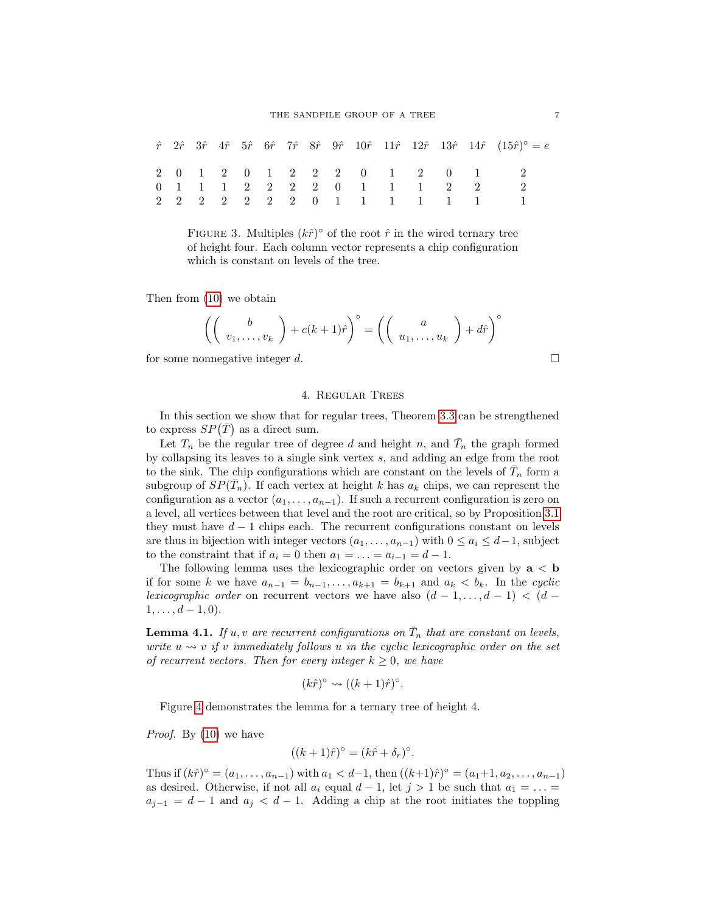|  |  |  |  |  |                             |  | $\hat{r}$ $2\hat{r}$ $3\hat{r}$ $4\hat{r}$ $5\hat{r}$ $6\hat{r}$ $7\hat{r}$ $8\hat{r}$ $9\hat{r}$ $10\hat{r}$ $11\hat{r}$ $12\hat{r}$ $13\hat{r}$ $14\hat{r}$ $(15\hat{r})^{\circ} = e$ |
|--|--|--|--|--|-----------------------------|--|-----------------------------------------------------------------------------------------------------------------------------------------------------------------------------------------|
|  |  |  |  |  |                             |  | 2 0 1 2 0 1 2 2 2 0 1 2 0 1 2                                                                                                                                                           |
|  |  |  |  |  | 0 1 1 1 2 2 2 2 0 1 1 1 2 2 |  |                                                                                                                                                                                         |
|  |  |  |  |  |                             |  | 2 2 2 2 2 2 2 0 1 1 1 1 1 1 1                                                                                                                                                           |

FIGURE 3. Multiples  $(k\hat{r})^{\circ}$  of the root  $\hat{r}$  in the wired ternary tree of height four. Each column vector represents a chip configuration which is constant on levels of the tree.

Then from [\(10\)](#page-5-3) we obtain

$$
\left(\left(\begin{array}{c}b\\v_1,\ldots,v_k\end{array}\right)+c(k+1)\hat{r}\right)^{\circ}=\left(\left(\begin{array}{c}a\\u_1,\ldots,u_k\end{array}\right)+d\hat{r}\right)^{\circ}
$$

for some nonnegative integer d.  $\Box$ 

### 4. Regular Trees

<span id="page-6-0"></span>In this section we show that for regular trees, Theorem [3.3](#page-5-0) can be strengthened to express  $SP(\bar{T})$  as a direct sum.

Let  $T_n$  be the regular tree of degree d and height n, and  $\bar{T}_n$  the graph formed by collapsing its leaves to a single sink vertex s, and adding an edge from the root to the sink. The chip configurations which are constant on the levels of  $\bar{T}_n$  form a subgroup of  $SP(\bar{T}_n)$ . If each vertex at height k has  $a_k$  chips, we can represent the configuration as a vector  $(a_1, \ldots, a_{n-1})$ . If such a recurrent configuration is zero on a level, all vertices between that level and the root are critical, so by Proposition [3.1](#page-3-3) they must have  $d-1$  chips each. The recurrent configurations constant on levels are thus in bijection with integer vectors  $(a_1, \ldots, a_{n-1})$  with  $0 \le a_i \le d-1$ , subject to the constraint that if  $a_i = 0$  then  $a_1 = \ldots = a_{i-1} = d-1$ .

The following lemma uses the lexicographic order on vectors given by  $a < b$ if for some k we have  $a_{n-1} = b_{n-1}, \ldots, a_{k+1} = b_{k+1}$  and  $a_k < b_k$ . In the cyclic lexicographic order on recurrent vectors we have also  $(d-1,\ldots,d-1) < (d-1)$  $1, \ldots, d-1, 0$ .

<span id="page-6-1"></span>**Lemma 4.1.** If u, v are recurrent configurations on  $\overline{T}_n$  that are constant on levels, write  $u \nightharpoonup v$  if v immediately follows u in the cyclic lexicographic order on the set of recurrent vectors. Then for every integer  $k \geq 0$ , we have

$$
(k\hat{r})^{\circ} \rightsquigarrow ((k+1)\hat{r})^{\circ}.
$$

Figure [4](#page-6-0) demonstrates the lemma for a ternary tree of height 4.

Proof. By [\(10\)](#page-5-3) we have

$$
((k+1)\hat{r})^{\circ} = (k\hat{r} + \delta_r)^{\circ}.
$$

Thus if  $(k\hat{r})^{\circ} = (a_1, \ldots, a_{n-1})$  with  $a_1 < d-1$ , then  $((k+1)\hat{r})^{\circ} = (a_1+1, a_2, \ldots, a_{n-1})$ as desired. Otherwise, if not all  $a_i$  equal  $d-1$ , let  $j > 1$  be such that  $a_1 = \ldots =$  $a_{i-1} = d - 1$  and  $a_i < d - 1$ . Adding a chip at the root initiates the toppling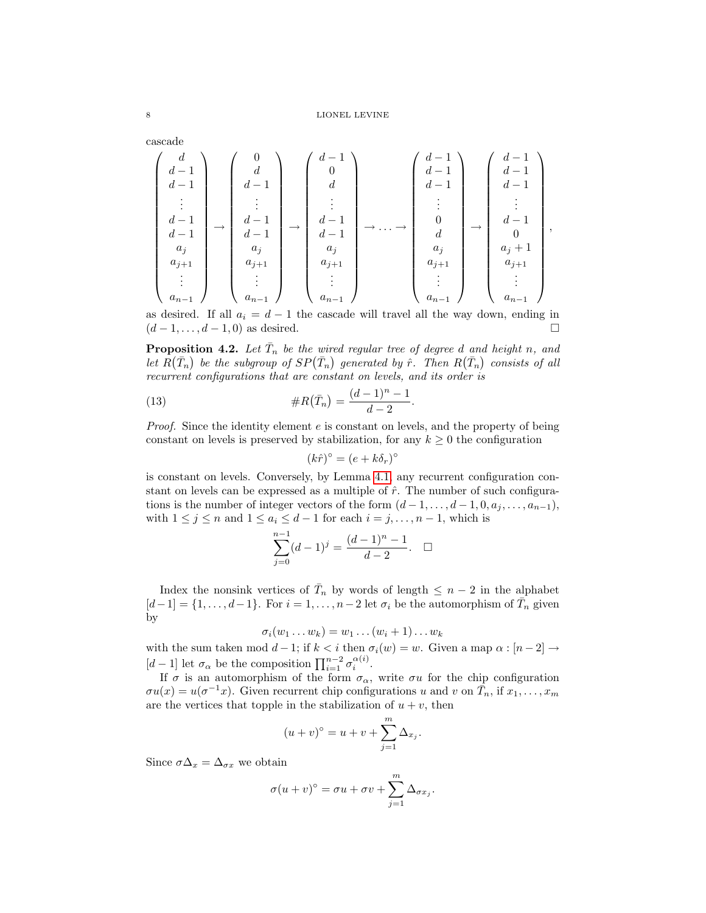cascade

$$
\left(\begin{array}{c}d\\d-1\\d-1\\ \vdots\\d-1\\d-1\\a_j\\a_{j+1}\\ \vdots\\a_{n-1}\end{array}\right)\rightarrow\left(\begin{array}{c}0\\d\\d-1\\d-1\\d-1\\a_j\\a_j\\ \vdots\\a_{n-1}\end{array}\right)\rightarrow\left(\begin{array}{c}d-1\\0\\d\\d\\d-1\\d-1\\a_j\\a_j\\ \vdots\\a_{n-1}\end{array}\right)\rightarrow\ldots\rightarrow\left(\begin{array}{c}d-1\\d-1\\d-1\\0\\d\\a_j\\a_j\\ \vdots\\a_{n-1}\end{array}\right)\rightarrow\left(\begin{array}{c}d-1\\d-1\\d-1\\d\\0\\0\\a_j+1\\ \vdots\\a_{n-1}\end{array}\right),
$$

as desired. If all  $a_i = d - 1$  the cascade will travel all the way down, ending in  $(d-1,\ldots,d-1,0)$  as desired.

<span id="page-7-0"></span>**Proposition 4.2.** Let  $\overline{T}_n$  be the wired regular tree of degree d and height n, and let  $R(\bar{T}_n)$  be the subgroup of  $SP(\bar{T}_n)$  generated by  $\hat{r}$ . Then  $R(\bar{T}_n)$  consists of all recurrent configurations that are constant on levels, and its order is

(13) 
$$
\#R(\bar{T}_n) = \frac{(d-1)^n - 1}{d-2}.
$$

Proof. Since the identity element e is constant on levels, and the property of being constant on levels is preserved by stabilization, for any  $k \geq 0$  the configuration

<span id="page-7-1"></span>
$$
(k\hat{r})^{\circ} = (e + k\delta_r)^{\circ}
$$

is constant on levels. Conversely, by Lemma [4.1,](#page-6-1) any recurrent configuration constant on levels can be expressed as a multiple of  $\hat{r}$ . The number of such configurations is the number of integer vectors of the form  $(d-1,\ldots,d-1,0,a_j,\ldots,a_{n-1}),$ with  $1 \leq j \leq n$  and  $1 \leq a_i \leq d-1$  for each  $i = j, \ldots, n-1$ , which is

$$
\sum_{j=0}^{n-1} (d-1)^j = \frac{(d-1)^n - 1}{d-2}.\quad \Box
$$

Index the nonsink vertices of  $\overline{T}_n$  by words of length  $\leq n-2$  in the alphabet  $[d-1] = \{1, \ldots, d-1\}$ . For  $i = 1, \ldots, n-2$  let  $\sigma_i$  be the automorphism of  $\overline{T}_n$  given by

$$
\sigma_i(w_1 \ldots w_k) = w_1 \ldots (w_i + 1) \ldots w_k
$$

with the sum taken mod  $d-1$ ; if  $k < i$  then  $\sigma_i(w) = w$ . Given a map  $\alpha : [n-2] \rightarrow$ [d − 1] let  $\sigma_{\alpha}$  be the composition  $\prod_{i=1}^{n-2} \sigma_i^{\alpha(i)}$ .

If  $\sigma$  is an automorphism of the form  $\sigma_{\alpha}$ , write  $\sigma u$  for the chip configuration  $\sigma u(x) = u(\sigma^{-1}x)$ . Given recurrent chip configurations u and v on  $\overline{T}_n$ , if  $x_1, \ldots, x_m$ are the vertices that topple in the stabilization of  $u + v$ , then

$$
(u + v)^{\circ} = u + v + \sum_{j=1}^{m} \Delta_{x_j}.
$$

Since  $\sigma \Delta_x = \Delta_{\sigma x}$  we obtain

$$
\sigma(u+v)^{\circ} = \sigma u + \sigma v + \sum_{j=1}^{m} \Delta_{\sigma x_j}.
$$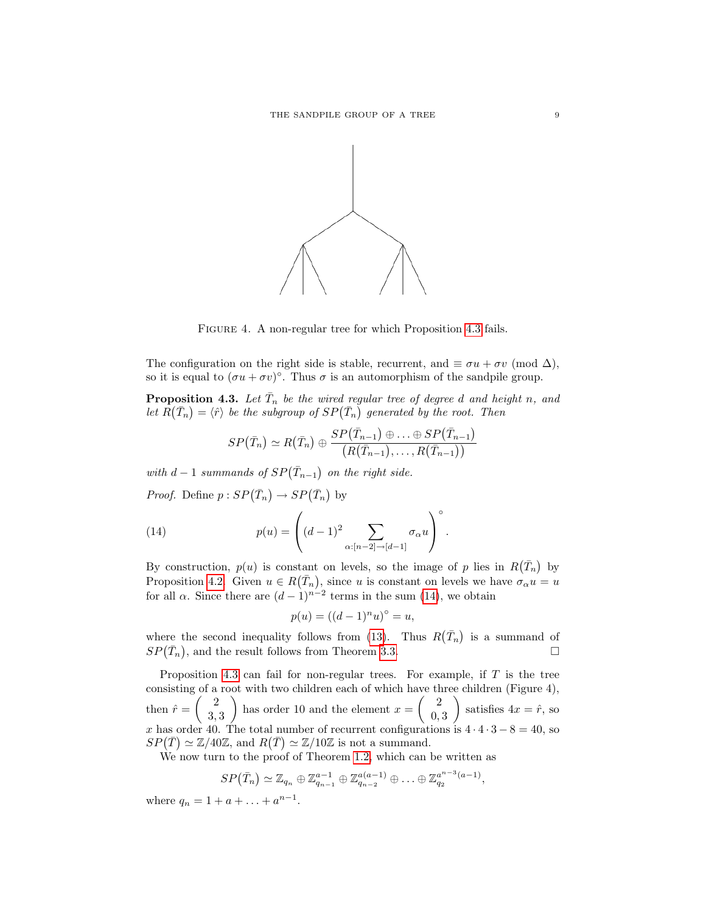

FIGURE 4. A non-regular tree for which Proposition [4.3](#page-8-0) fails.

The configuration on the right side is stable, recurrent, and  $\equiv \sigma u + \sigma v \pmod{\Delta}$ , so it is equal to  $(\sigma u + \sigma v)^{\circ}$ . Thus  $\sigma$  is an automorphism of the sandpile group.

<span id="page-8-0"></span>**Proposition 4.3.** Let  $\overline{T}_n$  be the wired regular tree of degree d and height n, and let  $\overline{R}(\overline{T}_n) = \langle \hat{r} \rangle$  be the subgroup of  $SP(\overline{T}_n)$  generated by the root. Then

$$
SP\big(\bar{T}_n\big)\simeq R\big(\bar{T}_n\big)\oplus \frac{SP\big(\bar{T}_{n-1}\big)\oplus \ldots \oplus SP\big(\bar{T}_{n-1}\big)}{\big(R\big(\bar{T}_{n-1}\big),\ldots,R\big(\bar{T}_{n-1}\big)\big)}
$$

with  $d-1$  summands of  $SP(\bar{T}_{n-1})$  on the right side.

*Proof.* Define  $p: SP(\bar{T}_n) \to SP(\bar{T}_n)$  by

(14) 
$$
p(u) = \left( (d-1)^2 \sum_{\alpha : [n-2] \to [d-1]} \sigma_{\alpha} u \right)^{\circ}.
$$

By construction,  $p(u)$  is constant on levels, so the image of p lies in  $R(\bar{T}_n)$  by Proposition [4.2.](#page-7-0) Given  $u \in R(\bar{T}_n)$ , since u is constant on levels we have  $\sigma_\alpha u = u$ for all  $\alpha$ . Since there are  $(d-1)^{n-2}$  terms in the sum [\(14\)](#page-8-1), we obtain

<span id="page-8-1"></span>
$$
p(u) = ((d-1)^n u)^\circ = u,
$$

where the second inequality follows from [\(13\)](#page-7-1). Thus  $R(\bar{T}_n)$  is a summand of  $SP(\bar{T}_n)$ , and the result follows from Theorem [3.3.](#page-5-0)

Proposition [4.3](#page-8-0) can fail for non-regular trees. For example, if  $T$  is the tree consisting of a root with two children each of which have three children (Figure 4), then  $\hat{r} = \begin{pmatrix} 2 \\ 2 \end{pmatrix}$ 3, 3 ) has order 10 and the element  $x = \begin{pmatrix} 2 \\ 0 \end{pmatrix}$ 0, 3 ) satisfies  $4x = \hat{r}$ , so x has order 40. The total number of recurrent configurations is  $4 \cdot 4 \cdot 3 - 8 = 40$ , so  $SP(\overline{T}) \simeq \mathbb{Z}/40\mathbb{Z}$ , and  $R(\overline{T}) \simeq \mathbb{Z}/10\mathbb{Z}$  is not a summand.

We now turn to the proof of Theorem [1.2,](#page-1-1) which can be written as

$$
SP(\bar{T}_n) \simeq \mathbb{Z}_{q_n} \oplus \mathbb{Z}_{q_{n-1}}^{a-1} \oplus \mathbb{Z}_{q_{n-2}}^{a(a-1)} \oplus \ldots \oplus \mathbb{Z}_{q_2}^{a^{n-3}(a-1)},
$$

where  $q_n = 1 + a + \ldots + a^{n-1}$ .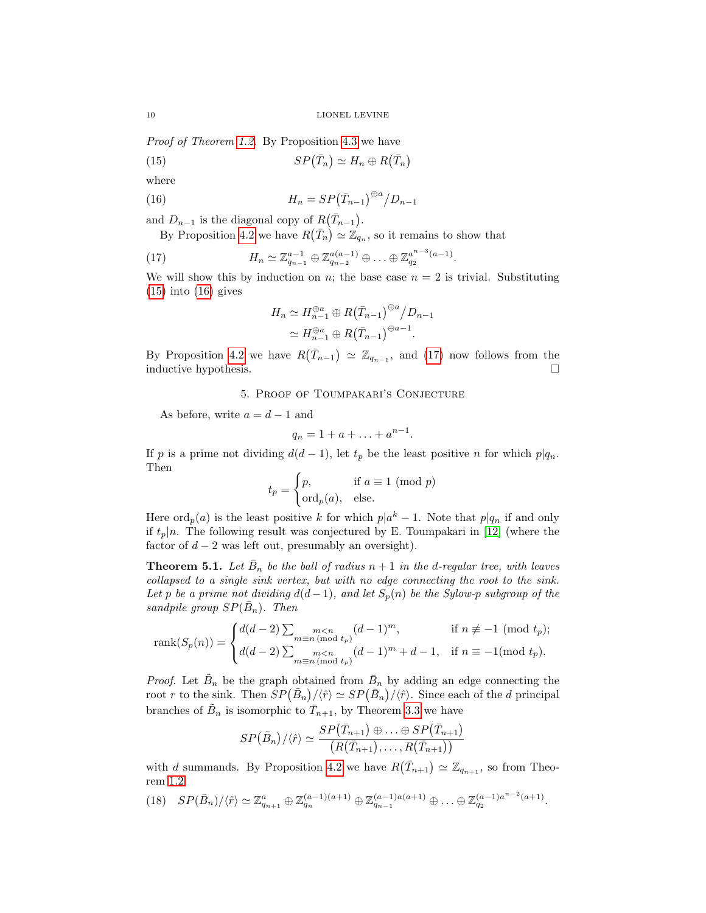Proof of Theorem [1.2.](#page-1-1) By Proposition [4.3](#page-8-0) we have

<span id="page-9-0"></span>(15) 
$$
SP(\bar{T}_n) \simeq H_n \oplus R(\bar{T}_n)
$$

where

(16) 
$$
H_n = SP(\bar{T}_{n-1})^{\oplus a} / D_{n-1}
$$

and  $D_{n-1}$  is the diagonal copy of  $R(\bar{T}_{n-1})$ .

By Proposition [4.2](#page-7-0) we have  $R(\bar{T}_n) \simeq \mathbb{Z}_{q_n}$ , so it remains to show that

(17) 
$$
H_n \simeq \mathbb{Z}_{q_{n-1}}^{a-1} \oplus \mathbb{Z}_{q_{n-2}}^{a(a-1)} \oplus \ldots \oplus \mathbb{Z}_{q_2}^{a^{n-3}(a-1)}.
$$

We will show this by induction on n; the base case  $n = 2$  is trivial. Substituting  $(15)$  into  $(16)$  gives

<span id="page-9-2"></span><span id="page-9-1"></span>
$$
H_n \simeq H_{n-1}^{\oplus a} \oplus R(\bar{T}_{n-1})^{\oplus a} / D_{n-1}
$$
  
\simeq 
$$
H_{n-1}^{\oplus a} \oplus R(\bar{T}_{n-1})^{\oplus a-1}.
$$

By Proposition [4.2](#page-7-0) we have  $R(\bar{T}_{n-1}) \simeq \mathbb{Z}_{q_{n-1}}$ , and [\(17\)](#page-9-2) now follows from the inductive hypothesis.

# 5. Proof of Toumpakari's Conjecture

As before, write  $a = d - 1$  and

$$
q_n=1+a+\ldots+a^{n-1}.
$$

If p is a prime not dividing  $d(d-1)$ , let  $t_p$  be the least positive n for which  $p|q_n$ . Then

$$
t_p = \begin{cases} p, & \text{if } a \equiv 1 \pmod{p} \\ \text{ord}_p(a), & \text{else.} \end{cases}
$$

Here  $\text{ord}_p(a)$  is the least positive k for which  $p|a^k-1$ . Note that  $p|q_n$  if and only if  $t_p|n$ . The following result was conjectured by E. Toumpakari in [\[12\]](#page-10-0) (where the factor of  $d - 2$  was left out, presumably an oversight).

**Theorem 5.1.** Let  $\bar{B}_n$  be the ball of radius  $n+1$  in the d-regular tree, with leaves collapsed to a single sink vertex, but with no edge connecting the root to the sink. Let p be a prime not dividing  $d(d-1)$ , and let  $S_p(n)$  be the Sylow-p subgroup of the sandpile group  $SP(\bar{B}_n)$ . Then

rank
$$
(S_p(n))
$$
 = 
$$
\begin{cases} d(d-2) \sum_{\substack{m \le n \\ m \equiv n \pmod{t_p}}} (d-1)^m, & \text{if } n \not\equiv -1 \pmod{t_p}; \\ d(d-2) \sum_{\substack{m \le n \\ m \equiv n \pmod{t_p}}} (d-1)^m + d - 1, & \text{if } n \equiv -1 \pmod{t_p}. \end{cases}
$$

*Proof.* Let  $\tilde{B}_n$  be the graph obtained from  $\bar{B}_n$  by adding an edge connecting the root r to the sink. Then  $SP(\tilde{B}_n)/\langle \hat{r} \rangle \simeq SP(\bar{B}_n)/\langle \hat{r} \rangle$ . Since each of the d principal branches of  $\tilde{B}_n$  is isomorphic to  $\bar{T}_{n+1}$ , by Theorem [3.3](#page-5-0) we have

$$
SP(\tilde{B}_n)/\langle \hat{r} \rangle \simeq \frac{SP(\bar{T}_{n+1}) \oplus \ldots \oplus SP(\bar{T}_{n+1})}{\left( R(\bar{T}_{n+1}), \ldots, R(\bar{T}_{n+1}) \right)}
$$

with d summands. By Proposition [4.2](#page-7-0) we have  $R(\bar{T}_{n+1}) \simeq \mathbb{Z}_{q_{n+1}}$ , so from Theorem [1.2](#page-1-1)

<span id="page-9-3"></span>(18)  $SP(\bar{B}_n)/\langle \hat{r} \rangle \simeq \mathbb{Z}_{q_{n+1}}^a \oplus \mathbb{Z}_{q_n}^{(a-1)(a+1)} \oplus \mathbb{Z}_{q_{n-1}}^{(a-1)a(a+1)} \oplus \ldots \oplus \mathbb{Z}_{q_2}^{(a-1)a^{n-2}(a+1)}$ .